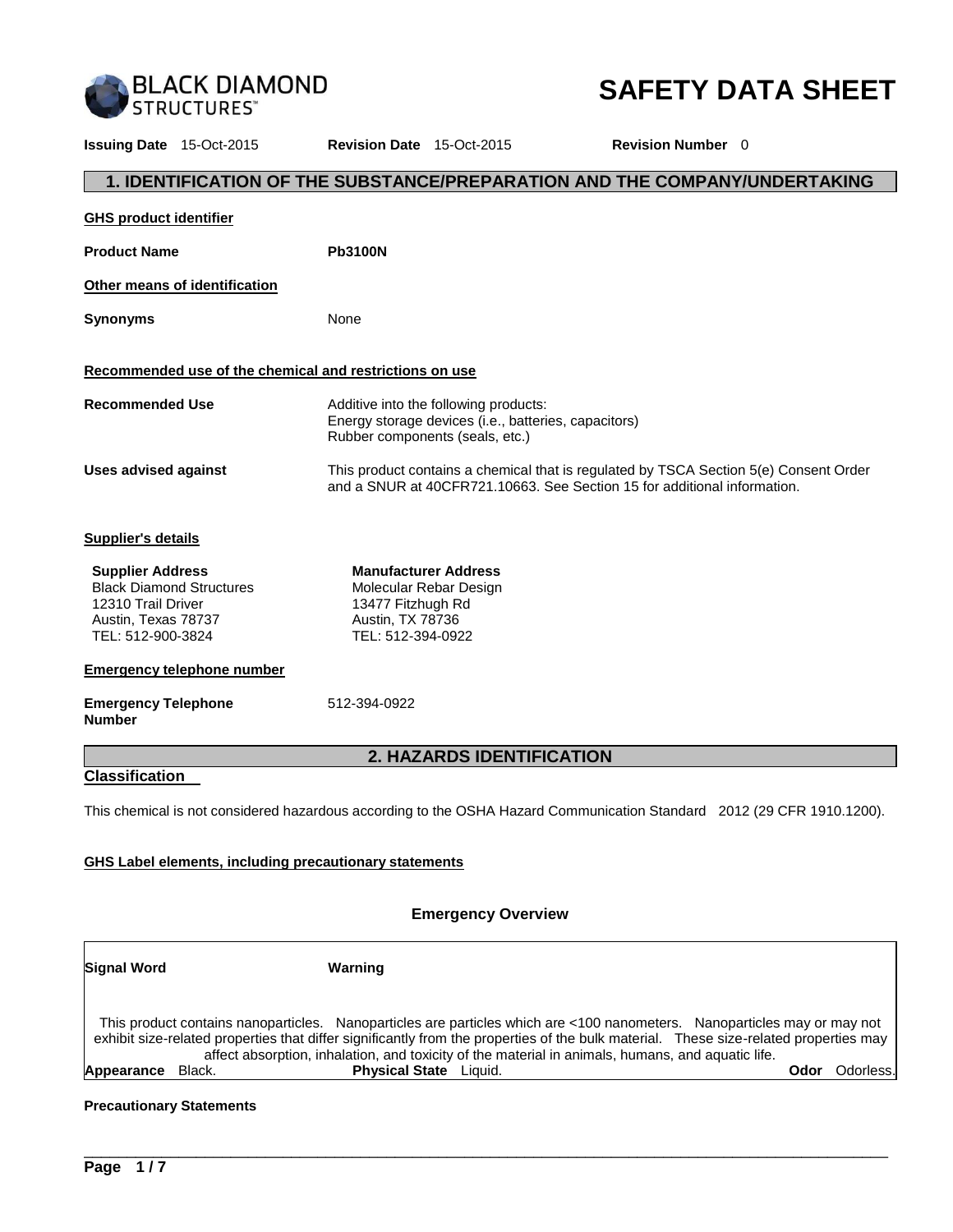

# **SAFETY DATA SHEET**

**Issuing Date** 15-Oct-2015 **Revision Date** 15-Oct-2015 **Revision Number** 0 **1. IDENTIFICATION OF THE SUBSTANCE/PREPARATION AND THE COMPANY/UNDERTAKING GHS product identifier** Product Name **Pb3100N Other means of identification Synonyms** None **Recommended use of the chemical and restrictions on use Recommended Use** Additive into the following products: Energy storage devices (i.e., batteries, capacitors) Rubber components (seals, etc.) **Uses advised against** This product contains a chemical that is regulated by TSCA Section 5(e) Consent Order and a SNUR at 40CFR721.10663. See Section 15 for additional information. **Supplier's details Supplier Address** Black Diamond Structures 12310 Trail Driver Austin, Texas 78737 TEL: 512-900-3824 **Manufacturer Address** Molecular Rebar Design 13477 Fitzhugh Rd Austin, TX 78736 TEL: 512-394-0922 **Emergency telephone number Emergency Telephone Number**  512-394-0922 **2. HAZARDS IDENTIFICATION Classification**  This chemical is not considered hazardous according to the OSHA Hazard Communication Standard 2012 (29 CFR 1910.1200). **GHS Label elements, including precautionary statements**

#### **Emergency Overview**

| <b>Signal Word</b>   | Warning                                                                                                                                                                                                                                                                                                                                                                |                   |
|----------------------|------------------------------------------------------------------------------------------------------------------------------------------------------------------------------------------------------------------------------------------------------------------------------------------------------------------------------------------------------------------------|-------------------|
|                      | This product contains nanoparticles. Nanoparticles are particles which are <100 nanometers. Nanoparticles may or may not<br>exhibit size-related properties that differ significantly from the properties of the bulk material. These size-related properties may<br>affect absorption, inhalation, and toxicity of the material in animals, humans, and aquatic life. |                   |
| Appearance<br>Black. | <b>Physical State</b> Liquid.                                                                                                                                                                                                                                                                                                                                          | Odorless.<br>Odor |

\_\_\_\_\_\_\_\_\_\_\_\_\_\_\_\_\_\_\_\_\_\_\_\_\_\_\_\_\_\_\_\_\_\_\_\_\_\_\_\_\_\_\_\_\_\_\_\_\_\_\_\_\_\_\_\_\_\_\_\_\_\_\_\_\_\_\_\_\_\_\_\_\_\_\_\_\_\_\_\_\_\_\_\_\_\_\_\_\_\_\_\_\_

## **Precautionary Statements**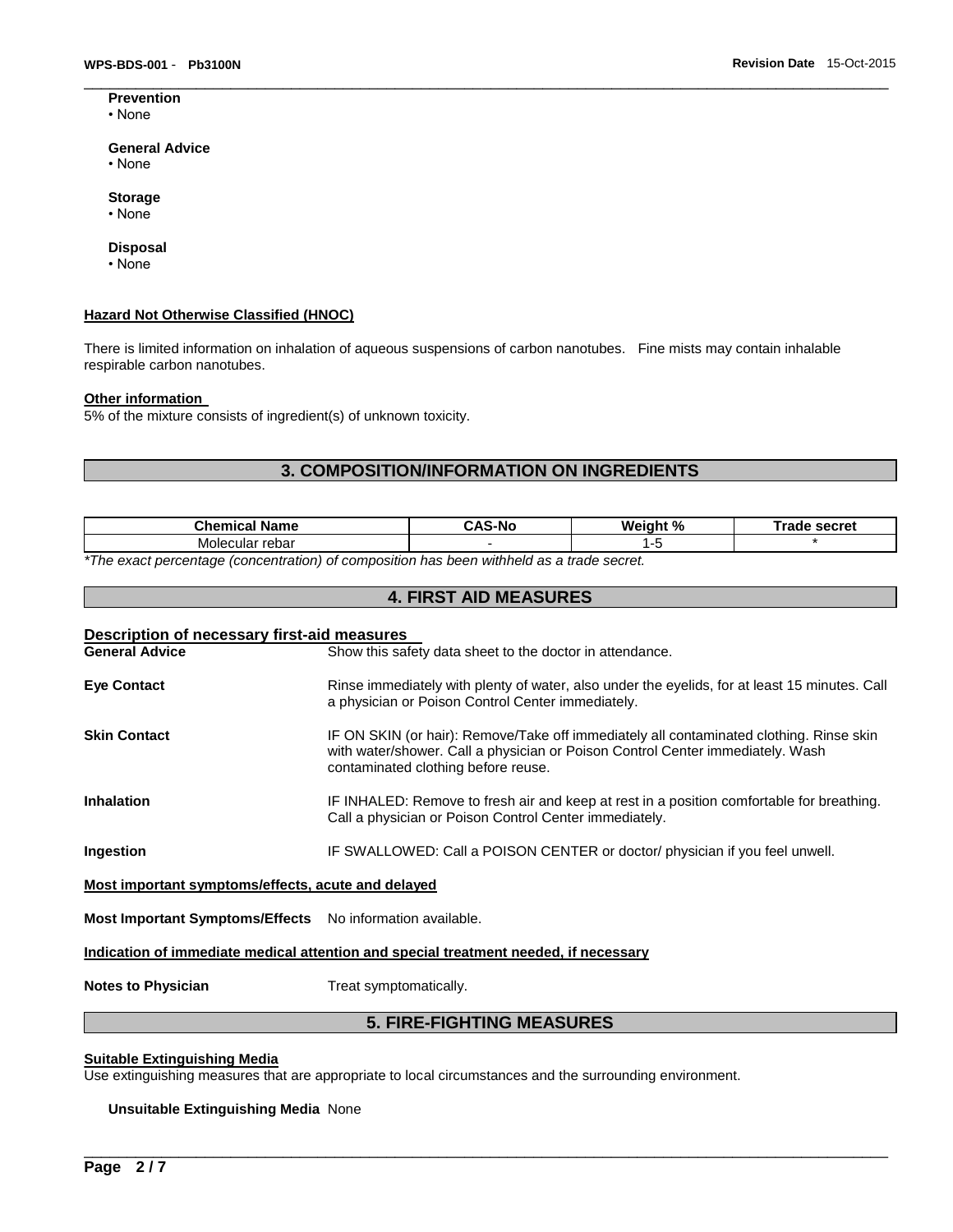**Prevention** • None

## **General Advice**

- None
- **Storage**
- None

#### **Disposal**

• None

#### **Hazard Not Otherwise Classified (HNOC)**

There is limited information on inhalation of aqueous suspensions of carbon nanotubes. Fine mists may contain inhalable respirable carbon nanotubes.

#### **Other information**

5% of the mixture consists of ingredient(s) of unknown toxicity.

# **3. COMPOSITION/INFORMATION ON INGREDIENTS**

\_\_\_\_\_\_\_\_\_\_\_\_\_\_\_\_\_\_\_\_\_\_\_\_\_\_\_\_\_\_\_\_\_\_\_\_\_\_\_\_\_\_\_\_\_\_\_\_\_\_\_\_\_\_\_\_\_\_\_\_\_\_\_\_\_\_\_\_\_\_\_\_\_\_\_\_\_\_\_\_\_\_\_\_\_\_\_\_\_\_\_\_\_

| <b>Chemical Name</b>                                                                                       | -Nc | Weight % | secret<br>™rade |
|------------------------------------------------------------------------------------------------------------|-----|----------|-----------------|
| cular rebar<br>Moleo                                                                                       |     | . .      |                 |
| $\star$ The concentration from fractional of concentration has been initiated to a fund control of $\star$ |     |          |                 |

**4. FIRST AID MEASURES** 

*\*The exact percentage (concentration) of composition has been withheld as a trade secret.* 

| Description of necessary first-aid measures<br><b>General Advice</b> | Show this safety data sheet to the doctor in attendance.                                                                                                                                                         |  |  |
|----------------------------------------------------------------------|------------------------------------------------------------------------------------------------------------------------------------------------------------------------------------------------------------------|--|--|
| <b>Eve Contact</b>                                                   | Rinse immediately with plenty of water, also under the eyelids, for at least 15 minutes. Call<br>a physician or Poison Control Center immediately.                                                               |  |  |
| <b>Skin Contact</b>                                                  | IF ON SKIN (or hair): Remove/Take off immediately all contaminated clothing. Rinse skin<br>with water/shower. Call a physician or Poison Control Center immediately. Wash<br>contaminated clothing before reuse. |  |  |
| <b>Inhalation</b>                                                    | IF INHALED: Remove to fresh air and keep at rest in a position comfortable for breathing.<br>Call a physician or Poison Control Center immediately.                                                              |  |  |
| Ingestion                                                            | IF SWALLOWED: Call a POISON CENTER or doctor/ physician if you feel unwell.                                                                                                                                      |  |  |
| Most important symptoms/effects, acute and delayed                   |                                                                                                                                                                                                                  |  |  |
| <b>Most Important Symptoms/Effects</b> No information available.     |                                                                                                                                                                                                                  |  |  |
|                                                                      | Indication of immediate medical attention and special treatment needed, if necessary                                                                                                                             |  |  |

**Notes to Physician Treat symptomatically.** 

## **5. FIRE-FIGHTING MEASURES**

\_\_\_\_\_\_\_\_\_\_\_\_\_\_\_\_\_\_\_\_\_\_\_\_\_\_\_\_\_\_\_\_\_\_\_\_\_\_\_\_\_\_\_\_\_\_\_\_\_\_\_\_\_\_\_\_\_\_\_\_\_\_\_\_\_\_\_\_\_\_\_\_\_\_\_\_\_\_\_\_\_\_\_\_\_\_\_\_\_\_\_\_\_

# **Suitable Extinguishing Media**

Use extinguishing measures that are appropriate to local circumstances and the surrounding environment.

#### **Unsuitable Extinguishing Media** None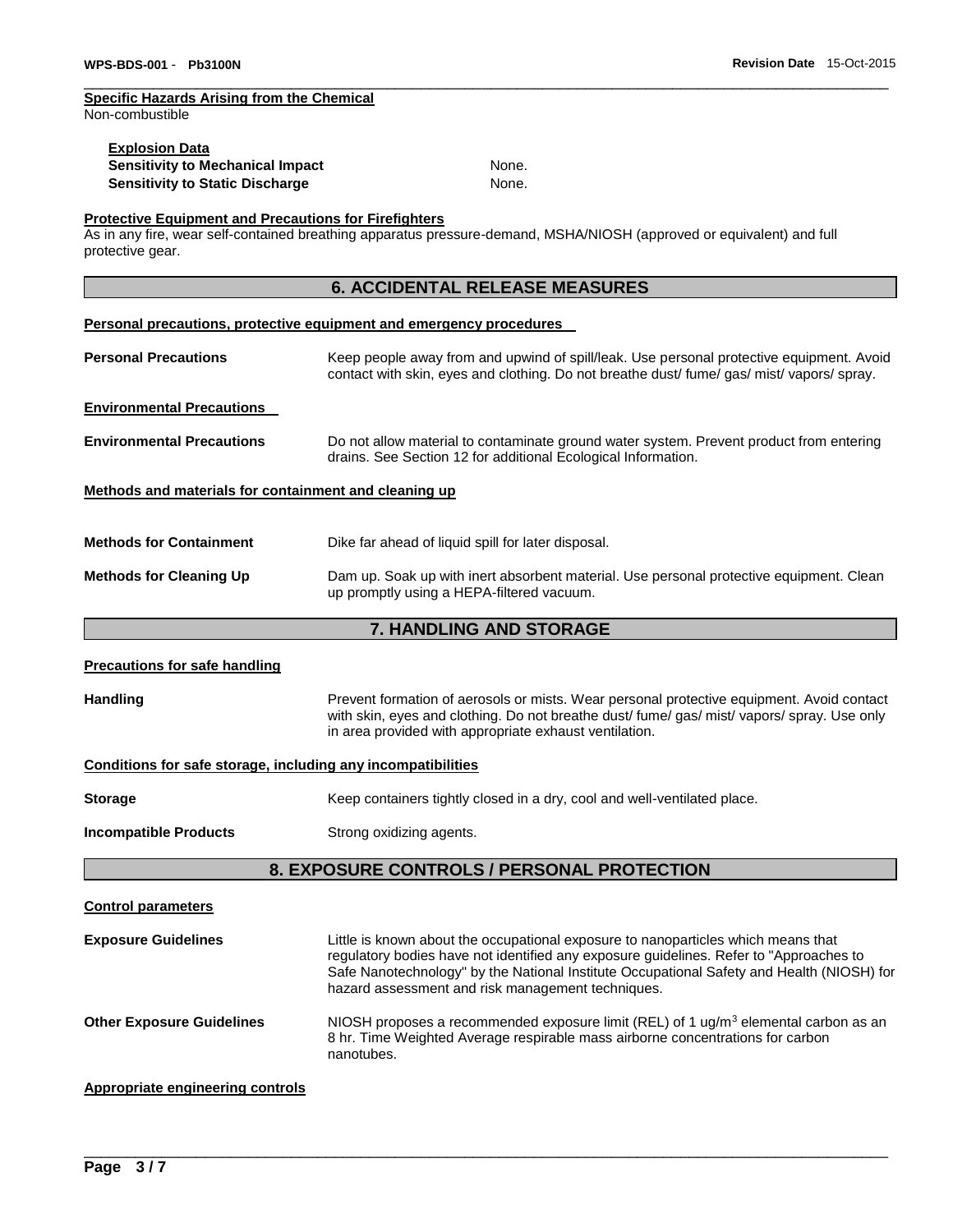# **Specific Hazards Arising from the Chemical**

Non-combustible

| <b>Explosion Data</b>            |       |
|----------------------------------|-------|
| Sensitivity to Mechanical Impact | None. |
| Sensitivity to Static Discharge  | None. |

\_\_\_\_\_\_\_\_\_\_\_\_\_\_\_\_\_\_\_\_\_\_\_\_\_\_\_\_\_\_\_\_\_\_\_\_\_\_\_\_\_\_\_\_\_\_\_\_\_\_\_\_\_\_\_\_\_\_\_\_\_\_\_\_\_\_\_\_\_\_\_\_\_\_\_\_\_\_\_\_\_\_\_\_\_\_\_\_\_\_\_\_\_

## **Protective Equipment and Precautions for Firefighters**

As in any fire, wear self-contained breathing apparatus pressure-demand, MSHA/NIOSH (approved or equivalent) and full protective gear.

# **6. ACCIDENTAL RELEASE MEASURES**

#### **Personal precautions, protective equipment and emergency procedures**

| <b>Personal Precautions</b>                           | Keep people away from and upwind of spill/leak. Use personal protective equipment. Avoid<br>contact with skin, eyes and clothing. Do not breathe dust fume gas mist vapors spray. |  |  |
|-------------------------------------------------------|-----------------------------------------------------------------------------------------------------------------------------------------------------------------------------------|--|--|
| <b>Environmental Precautions</b>                      |                                                                                                                                                                                   |  |  |
| <b>Environmental Precautions</b>                      | Do not allow material to contaminate ground water system. Prevent product from entering<br>drains. See Section 12 for additional Ecological Information.                          |  |  |
| Methods and materials for containment and cleaning up |                                                                                                                                                                                   |  |  |
| <b>Methods for Containment</b>                        | Dike far ahead of liquid spill for later disposal.                                                                                                                                |  |  |
| <b>Methods for Cleaning Up</b>                        | Dam up. Soak up with inert absorbent material. Use personal protective equipment. Clean<br>up promptly using a HEPA-filtered vacuum.                                              |  |  |

# **7. HANDLING AND STORAGE**

| <b>Precautions for safe handling</b>                         |                                                                                                                                                                                                                                                                                                                               |  |  |
|--------------------------------------------------------------|-------------------------------------------------------------------------------------------------------------------------------------------------------------------------------------------------------------------------------------------------------------------------------------------------------------------------------|--|--|
| <b>Handling</b>                                              | Prevent formation of aerosols or mists. Wear personal protective equipment. Avoid contact<br>with skin, eyes and clothing. Do not breathe dust/ fume/ gas/ mist/ vapors/ spray. Use only<br>in area provided with appropriate exhaust ventilation.                                                                            |  |  |
| Conditions for safe storage, including any incompatibilities |                                                                                                                                                                                                                                                                                                                               |  |  |
| <b>Storage</b>                                               | Keep containers tightly closed in a dry, cool and well-ventilated place.                                                                                                                                                                                                                                                      |  |  |
| <b>Incompatible Products</b>                                 | Strong oxidizing agents.                                                                                                                                                                                                                                                                                                      |  |  |
| 8. EXPOSURE CONTROLS / PERSONAL PROTECTION                   |                                                                                                                                                                                                                                                                                                                               |  |  |
| <b>Control parameters</b>                                    |                                                                                                                                                                                                                                                                                                                               |  |  |
| <b>Exposure Guidelines</b>                                   | Little is known about the occupational exposure to nanoparticles which means that<br>regulatory bodies have not identified any exposure guidelines. Refer to "Approaches to<br>Safe Nanotechnology" by the National Institute Occupational Safety and Health (NIOSH) for<br>hazard assessment and risk management techniques. |  |  |
| <b>Other Exposure Guidelines</b>                             | NIOSH proposes a recommended exposure limit (REL) of 1 $\mu$ g/m <sup>3</sup> elemental carbon as an<br>8 hr. Time Weighted Average respirable mass airborne concentrations for carbon<br>nanotubes.                                                                                                                          |  |  |
| <b>Appropriate engineering controls</b>                      |                                                                                                                                                                                                                                                                                                                               |  |  |

\_\_\_\_\_\_\_\_\_\_\_\_\_\_\_\_\_\_\_\_\_\_\_\_\_\_\_\_\_\_\_\_\_\_\_\_\_\_\_\_\_\_\_\_\_\_\_\_\_\_\_\_\_\_\_\_\_\_\_\_\_\_\_\_\_\_\_\_\_\_\_\_\_\_\_\_\_\_\_\_\_\_\_\_\_\_\_\_\_\_\_\_\_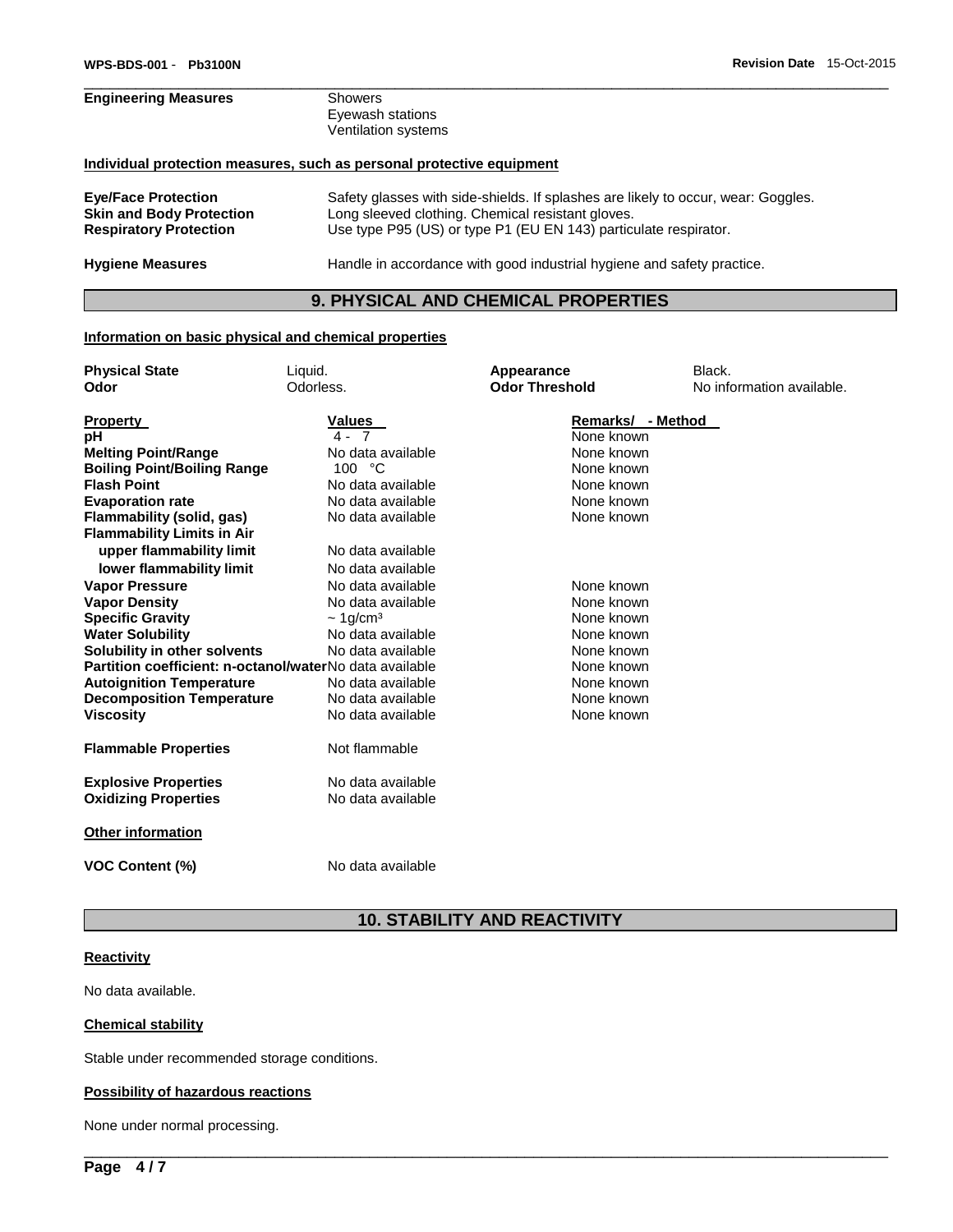# **Engineering Measures** Showers Eyewash stations Ventilation systems **Individual protection measures, such as personal protective equipment Eye/Face Protection** Safety glasses with side-shields. If splashes are likely to occur, wear: Goggles. Long sleeved clothing. Chemical resistant gloves.

**Respiratory Protection** Use type P95 (US) or type P1 (EU EN 143) particulate respirator. **Hygiene Measures** Handle in accordance with good industrial hygiene and safety practice.

# **9. PHYSICAL AND CHEMICAL PROPERTIES**

\_\_\_\_\_\_\_\_\_\_\_\_\_\_\_\_\_\_\_\_\_\_\_\_\_\_\_\_\_\_\_\_\_\_\_\_\_\_\_\_\_\_\_\_\_\_\_\_\_\_\_\_\_\_\_\_\_\_\_\_\_\_\_\_\_\_\_\_\_\_\_\_\_\_\_\_\_\_\_\_\_\_\_\_\_\_\_\_\_\_\_\_\_

#### **Information on basic physical and chemical properties**

| <b>Physical State</b>                                   | Liquid.                | Appearance            | Black.                    |
|---------------------------------------------------------|------------------------|-----------------------|---------------------------|
| Odor                                                    | Odorless.              | <b>Odor Threshold</b> | No information available. |
|                                                         |                        |                       |                           |
| <b>Property</b>                                         | <b>Values</b>          | Remarks/ - Method     |                           |
| рH                                                      | $4 - 7$                | None known            |                           |
| <b>Melting Point/Range</b>                              | No data available      | None known            |                           |
| <b>Boiling Point/Boiling Range</b>                      | 100 °C                 | None known            |                           |
| <b>Flash Point</b>                                      | No data available      | None known            |                           |
| <b>Evaporation rate</b>                                 | No data available      | None known            |                           |
| Flammability (solid, gas)                               | No data available      | None known            |                           |
| <b>Flammability Limits in Air</b>                       |                        |                       |                           |
| upper flammability limit                                | No data available      |                       |                           |
| lower flammability limit                                | No data available      |                       |                           |
| <b>Vapor Pressure</b>                                   | No data available      | None known            |                           |
| <b>Vapor Density</b>                                    | No data available      | None known            |                           |
| <b>Specific Gravity</b>                                 | $~1$ g/cm <sup>3</sup> | None known            |                           |
| <b>Water Solubility</b>                                 | No data available      | None known            |                           |
| Solubility in other solvents                            | No data available      | None known            |                           |
| Partition coefficient: n-octanol/waterNo data available |                        | None known            |                           |
| <b>Autoignition Temperature</b>                         | No data available      | None known            |                           |
| <b>Decomposition Temperature</b>                        | No data available      | None known            |                           |
| <b>Viscosity</b>                                        | No data available      | None known            |                           |
|                                                         |                        |                       |                           |
| <b>Flammable Properties</b>                             | Not flammable          |                       |                           |
| <b>Explosive Properties</b>                             | No data available      |                       |                           |
| <b>Oxidizing Properties</b>                             | No data available      |                       |                           |
|                                                         |                        |                       |                           |
| Other information                                       |                        |                       |                           |
|                                                         |                        |                       |                           |
| <b>VOC Content (%)</b>                                  | No data available      |                       |                           |

# **10. STABILITY AND REACTIVITY**

\_\_\_\_\_\_\_\_\_\_\_\_\_\_\_\_\_\_\_\_\_\_\_\_\_\_\_\_\_\_\_\_\_\_\_\_\_\_\_\_\_\_\_\_\_\_\_\_\_\_\_\_\_\_\_\_\_\_\_\_\_\_\_\_\_\_\_\_\_\_\_\_\_\_\_\_\_\_\_\_\_\_\_\_\_\_\_\_\_\_\_\_\_

#### **Reactivity**

No data available.

## **Chemical stability**

Stable under recommended storage conditions.

#### **Possibility of hazardous reactions**

None under normal processing.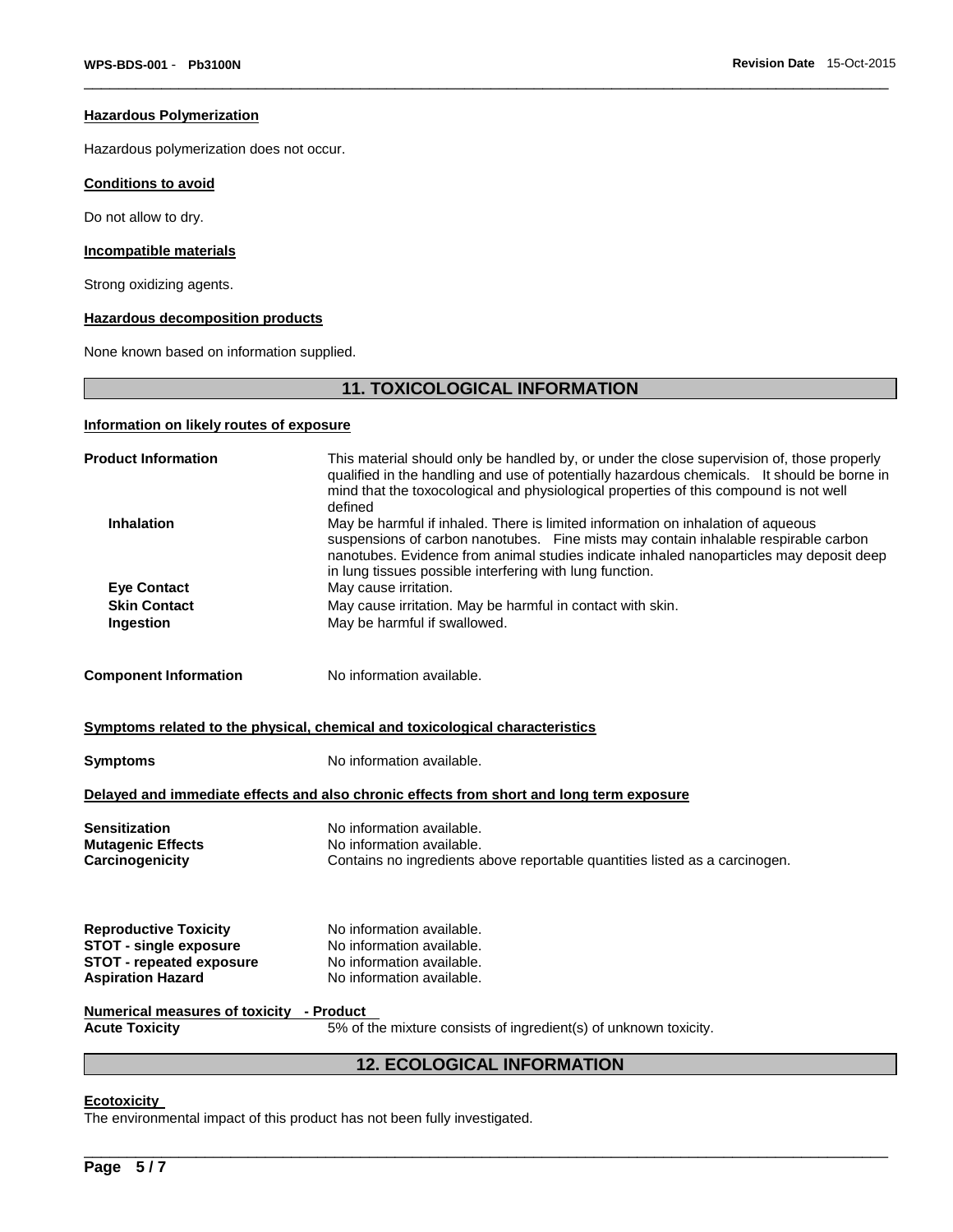#### **Hazardous Polymerization**

Hazardous polymerization does not occur.

## **Conditions to avoid**

Do not allow to dry.

## **Incompatible materials**

Strong oxidizing agents.

## **Hazardous decomposition products**

None known based on information supplied.

# **11. TOXICOLOGICAL INFORMATION**

\_\_\_\_\_\_\_\_\_\_\_\_\_\_\_\_\_\_\_\_\_\_\_\_\_\_\_\_\_\_\_\_\_\_\_\_\_\_\_\_\_\_\_\_\_\_\_\_\_\_\_\_\_\_\_\_\_\_\_\_\_\_\_\_\_\_\_\_\_\_\_\_\_\_\_\_\_\_\_\_\_\_\_\_\_\_\_\_\_\_\_\_\_

# **Information on likely routes of exposure**

| <b>Product Information</b>                  | This material should only be handled by, or under the close supervision of, those properly<br>qualified in the handling and use of potentially hazardous chemicals. It should be borne in<br>mind that the toxocological and physiological properties of this compound is not well<br>defined                                  |  |  |
|---------------------------------------------|--------------------------------------------------------------------------------------------------------------------------------------------------------------------------------------------------------------------------------------------------------------------------------------------------------------------------------|--|--|
| <b>Inhalation</b>                           | May be harmful if inhaled. There is limited information on inhalation of aqueous<br>suspensions of carbon nanotubes. Fine mists may contain inhalable respirable carbon<br>nanotubes. Evidence from animal studies indicate inhaled nanoparticles may deposit deep<br>in lung tissues possible interfering with lung function. |  |  |
| May cause irritation.<br><b>Eye Contact</b> |                                                                                                                                                                                                                                                                                                                                |  |  |
| <b>Skin Contact</b>                         | May cause irritation. May be harmful in contact with skin.                                                                                                                                                                                                                                                                     |  |  |
| Ingestion                                   | May be harmful if swallowed.                                                                                                                                                                                                                                                                                                   |  |  |
| <b>Component Information</b>                | No information available.                                                                                                                                                                                                                                                                                                      |  |  |
|                                             | Symptoms related to the physical, chemical and toxicological characteristics                                                                                                                                                                                                                                                   |  |  |
| <b>Symptoms</b>                             | No information available.                                                                                                                                                                                                                                                                                                      |  |  |
|                                             | Delayed and immediate effects and also chronic effects from short and long term exposure                                                                                                                                                                                                                                       |  |  |
| <b>Sensitization</b>                        | No information available.                                                                                                                                                                                                                                                                                                      |  |  |
| <b>Mutagenic Effects</b>                    | No information available.                                                                                                                                                                                                                                                                                                      |  |  |
| Carcinogenicity                             | Contains no ingredients above reportable quantities listed as a carcinogen.                                                                                                                                                                                                                                                    |  |  |
| <b>Reproductive Toxicity</b>                | No information available.                                                                                                                                                                                                                                                                                                      |  |  |
| <b>STOT - single exposure</b>               | No information available.                                                                                                                                                                                                                                                                                                      |  |  |
| <b>STOT - repeated exposure</b>             | No information available.                                                                                                                                                                                                                                                                                                      |  |  |
| <b>Aspiration Hazard</b>                    | No information available.                                                                                                                                                                                                                                                                                                      |  |  |
| Numerical measures of toxicity - Product    |                                                                                                                                                                                                                                                                                                                                |  |  |
| <b>Acute Toxicity</b>                       | 5% of the mixture consists of ingredient(s) of unknown toxicity.                                                                                                                                                                                                                                                               |  |  |
| <b>12. ECOLOGICAL INFORMATION</b>           |                                                                                                                                                                                                                                                                                                                                |  |  |

\_\_\_\_\_\_\_\_\_\_\_\_\_\_\_\_\_\_\_\_\_\_\_\_\_\_\_\_\_\_\_\_\_\_\_\_\_\_\_\_\_\_\_\_\_\_\_\_\_\_\_\_\_\_\_\_\_\_\_\_\_\_\_\_\_\_\_\_\_\_\_\_\_\_\_\_\_\_\_\_\_\_\_\_\_\_\_\_\_\_\_\_\_

#### **Ecotoxicity**

The environmental impact of this product has not been fully investigated.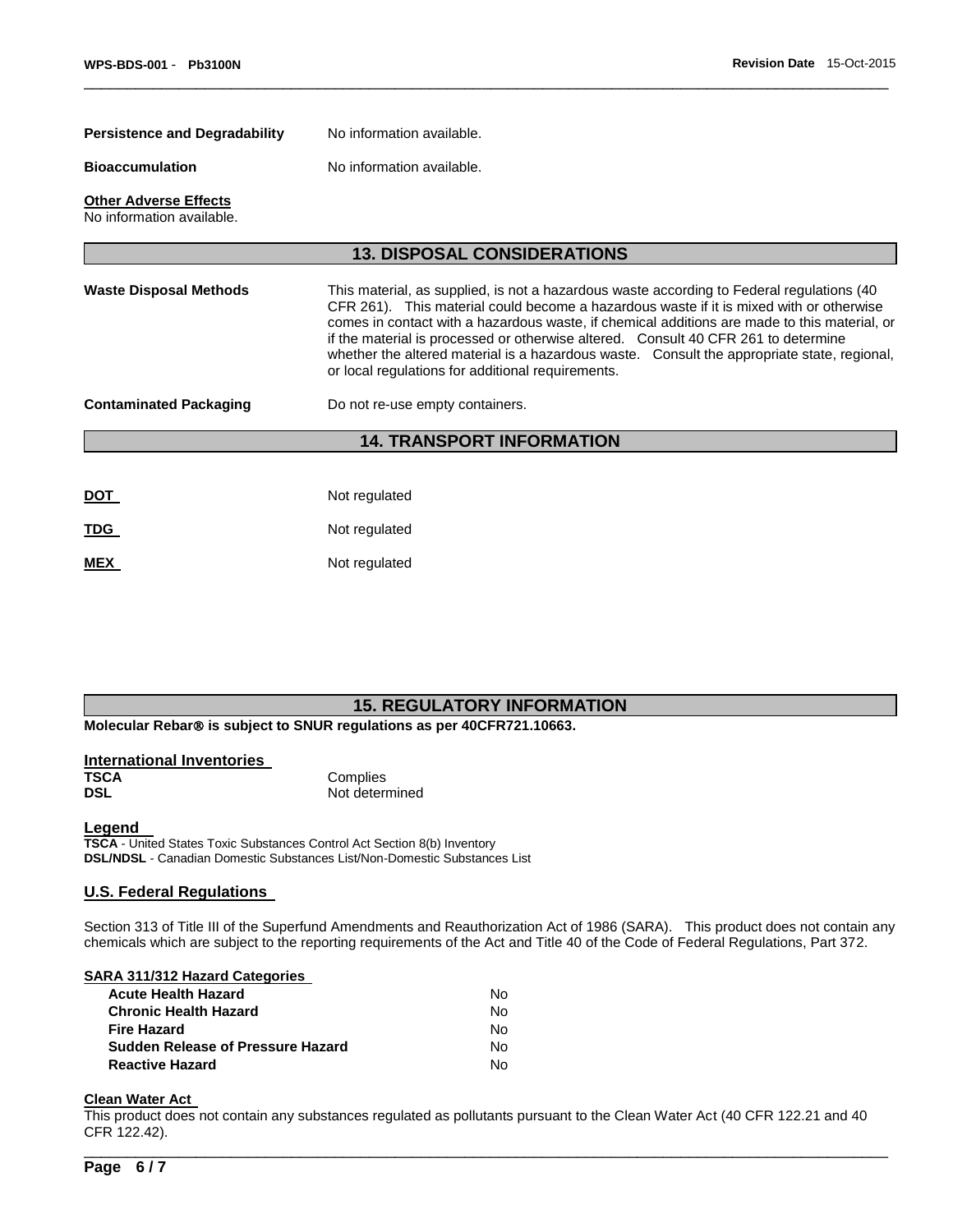| <b>Persistence and Degradability</b>                      | No information available.                                                                                                                                                                                                                                                                                                                                                                                                                                                                                                      |  |  |
|-----------------------------------------------------------|--------------------------------------------------------------------------------------------------------------------------------------------------------------------------------------------------------------------------------------------------------------------------------------------------------------------------------------------------------------------------------------------------------------------------------------------------------------------------------------------------------------------------------|--|--|
| <b>Bioaccumulation</b>                                    | No information available.                                                                                                                                                                                                                                                                                                                                                                                                                                                                                                      |  |  |
| <b>Other Adverse Effects</b><br>No information available. |                                                                                                                                                                                                                                                                                                                                                                                                                                                                                                                                |  |  |
|                                                           | <b>13. DISPOSAL CONSIDERATIONS</b>                                                                                                                                                                                                                                                                                                                                                                                                                                                                                             |  |  |
| <b>Waste Disposal Methods</b>                             | This material, as supplied, is not a hazardous waste according to Federal regulations (40<br>CFR 261). This material could become a hazardous waste if it is mixed with or otherwise<br>comes in contact with a hazardous waste, if chemical additions are made to this material, or<br>if the material is processed or otherwise altered. Consult 40 CFR 261 to determine<br>whether the altered material is a hazardous waste. Consult the appropriate state, regional,<br>or local regulations for additional requirements. |  |  |
| <b>Contaminated Packaging</b>                             | Do not re-use empty containers.                                                                                                                                                                                                                                                                                                                                                                                                                                                                                                |  |  |
|                                                           | <b>14. TRANSPORT INFORMATION</b>                                                                                                                                                                                                                                                                                                                                                                                                                                                                                               |  |  |
|                                                           |                                                                                                                                                                                                                                                                                                                                                                                                                                                                                                                                |  |  |
| <u>DOT</u>                                                | Not regulated                                                                                                                                                                                                                                                                                                                                                                                                                                                                                                                  |  |  |
| <u>TDG</u>                                                | Not regulated                                                                                                                                                                                                                                                                                                                                                                                                                                                                                                                  |  |  |
| <b>MEX</b>                                                | Not regulated                                                                                                                                                                                                                                                                                                                                                                                                                                                                                                                  |  |  |

\_\_\_\_\_\_\_\_\_\_\_\_\_\_\_\_\_\_\_\_\_\_\_\_\_\_\_\_\_\_\_\_\_\_\_\_\_\_\_\_\_\_\_\_\_\_\_\_\_\_\_\_\_\_\_\_\_\_\_\_\_\_\_\_\_\_\_\_\_\_\_\_\_\_\_\_\_\_\_\_\_\_\_\_\_\_\_\_\_\_\_\_\_

# **15. REGULATORY INFORMATION**

**Molecular Rebar<sup>®</sup> is subject to SNUR regulations as per 40CFR721.10663.** 

| International Inventories |                |
|---------------------------|----------------|
| <b>TSCA</b>               | Complies       |
| <b>DSL</b>                | Not determined |

#### **Legend**

**TSCA** - United States Toxic Substances Control Act Section 8(b) Inventory **DSL/NDSL** - Canadian Domestic Substances List/Non-Domestic Substances List

## **U.S. Federal Regulations**

Section 313 of Title III of the Superfund Amendments and Reauthorization Act of 1986 (SARA). This product does not contain any chemicals which are subject to the reporting requirements of the Act and Title 40 of the Code of Federal Regulations, Part 372.

#### **SARA 311/312 Hazard Categories**

| No. |
|-----|
| N٥  |
| No. |
| No. |
| N٥  |
|     |

# **Clean Water Act**

This product does not contain any substances regulated as pollutants pursuant to the Clean Water Act (40 CFR 122.21 and 40 CFR 122.42).

\_\_\_\_\_\_\_\_\_\_\_\_\_\_\_\_\_\_\_\_\_\_\_\_\_\_\_\_\_\_\_\_\_\_\_\_\_\_\_\_\_\_\_\_\_\_\_\_\_\_\_\_\_\_\_\_\_\_\_\_\_\_\_\_\_\_\_\_\_\_\_\_\_\_\_\_\_\_\_\_\_\_\_\_\_\_\_\_\_\_\_\_\_